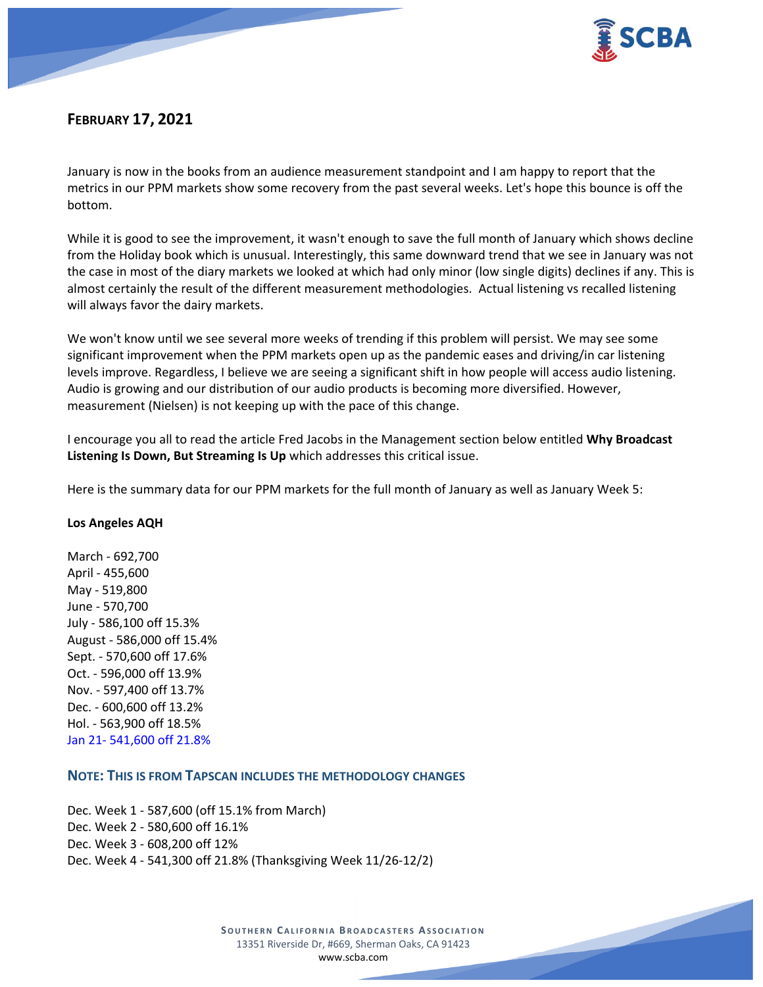

# **FEBRUARY 17, 2021**

January is now in the books from an audience measurement standpoint and I am happy to report that the metrics in our PPM markets show some recovery from the past several weeks. Let's hope this bounce is off the bottom.

While it is good to see the improvement, it wasn't enough to save the full month of January which shows decline from the Holiday book which is unusual. Interestingly, this same downward trend that we see in January was not the case in most of the diary markets we looked at which had only minor (low single digits) declines if any. This is almost certainly the result of the different measurement methodologies. Actual listening vs recalled listening will always favor the dairy markets.

We won't know until we see several more weeks of trending if this problem will persist. We may see some significant improvement when the PPM markets open up as the pandemic eases and driving/in car listening levels improve. Regardless, I believe we are seeing a significant shift in how people will access audio listening. Audio is growing and our distribution of our audio products is becoming more diversified. However, measurement (Nielsen) is not keeping up with the pace of this change.

I encourage you all to read the article Fred Jacobs in the Management section below entitled **Why Broadcast Listening Is Down, But Streaming Is Up** which addresses this critical issue.

Here is the summary data for our PPM markets for the full month of January as well as January Week 5:

#### **Los Angeles AQH**

March - 692,700 April - 455,600 May - 519,800 June - 570,700 July - 586,100 off 15.3% August - 586,000 off 15.4% Sept. - 570,600 off 17.6% Oct. - 596,000 off 13.9% Nov. - 597,400 off 13.7% Dec. - 600,600 off 13.2% Hol. - 563,900 off 18.5% Jan 21- 541,600 off 21.8%

# **NOTE: THIS IS FROM TAPSCAN INCLUDES THE METHODOLOGY CHANGES**

Dec. Week 1 - 587,600 (off 15.1% from March) Dec. Week 2 - 580,600 off 16.1% Dec. Week 3 - 608,200 off 12% Dec. Week 4 - 541,300 off 21.8% (Thanksgiving Week 11/26-12/2)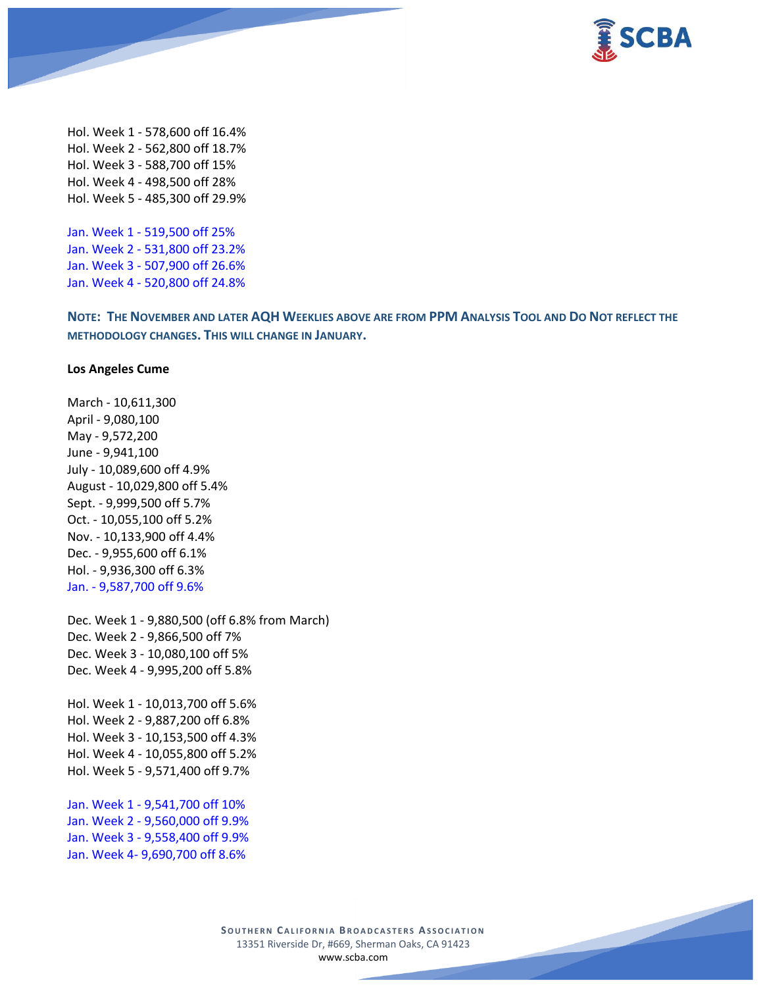

Hol. Week 1 - 578,600 off 16.4% Hol. Week 2 - 562,800 off 18.7% Hol. Week 3 - 588,700 off 15% Hol. Week 4 - 498,500 off 28% Hol. Week 5 - 485,300 off 29.9%

Jan. Week 1 - 519,500 off 25% Jan. Week 2 - 531,800 off 23.2% Jan. Week 3 - 507,900 off 26.6% Jan. Week 4 - 520,800 off 24.8%

NOTE: THE NOVEMBER AND LATER AQH WEEKLIES ABOVE ARE FROM PPM ANALYSIS TOOL AND DO NOT REFLECT THE **METHODOLOGY CHANGES. THIS WILL CHANGE IN JANUARY.**

#### **Los Angeles Cume**

March - 10,611,300 April - 9,080,100 May - 9,572,200 June - 9,941,100 July - 10,089,600 off 4.9% August - 10,029,800 off 5.4% Sept. - 9,999,500 off 5.7% Oct. - 10,055,100 off 5.2% Nov. - 10,133,900 off 4.4% Dec. - 9,955,600 off 6.1% Hol. - 9,936,300 off 6.3% Jan. - 9,587,700 off 9.6%

Dec. Week 1 - 9,880,500 (off 6.8% from March) Dec. Week 2 - 9,866,500 off 7% Dec. Week 3 - 10,080,100 off 5% Dec. Week 4 - 9,995,200 off 5.8%

Hol. Week 1 - 10,013,700 off 5.6% Hol. Week 2 - 9,887,200 off 6.8% Hol. Week 3 - 10,153,500 off 4.3% Hol. Week 4 - 10,055,800 off 5.2% Hol. Week 5 - 9,571,400 off 9.7%

Jan. Week 1 - 9,541,700 off 10% Jan. Week 2 - 9,560,000 off 9.9% Jan. Week 3 - 9,558,400 off 9.9% Jan. Week 4- 9,690,700 off 8.6%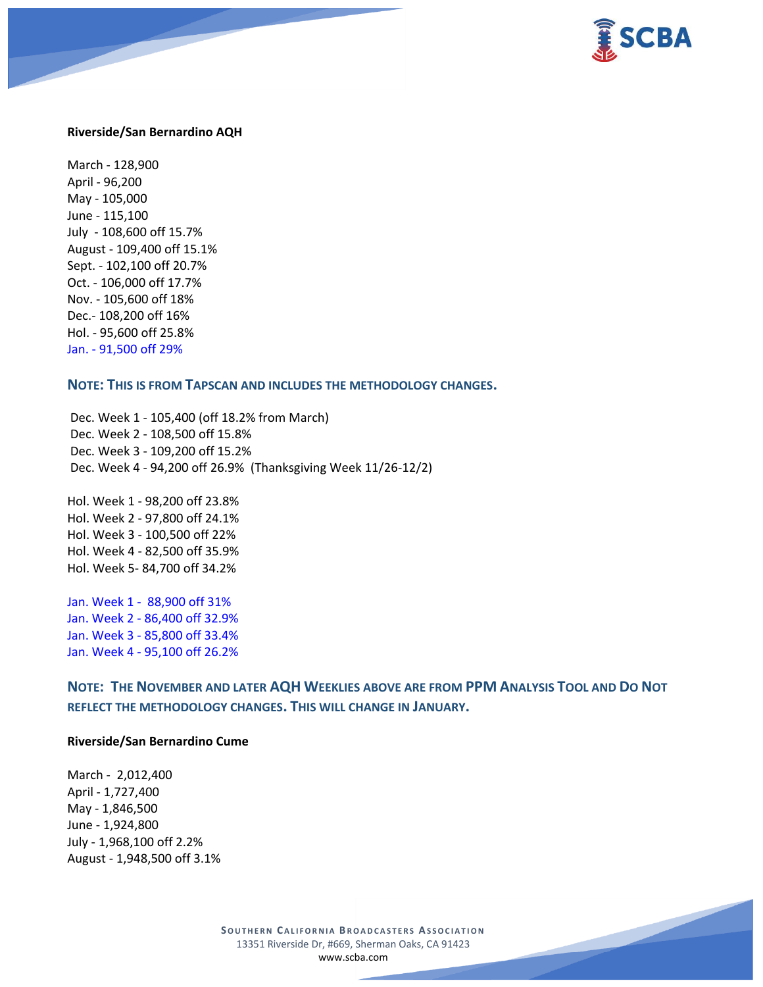



#### **Riverside/San Bernardino AQH**

March - 128,900 April - 96,200 May - 105,000 June - 115,100 July - 108,600 off 15.7% August - 109,400 off 15.1% Sept. - 102,100 off 20.7% Oct. - 106,000 off 17.7% Nov. - 105,600 off 18% Dec.- 108,200 off 16% Hol. - 95,600 off 25.8% Jan. - 91,500 off 29%

#### **NOTE: THIS IS FROM TAPSCAN AND INCLUDES THE METHODOLOGY CHANGES.**

Dec. Week 1 - 105,400 (off 18.2% from March) Dec. Week 2 - 108,500 off 15.8% Dec. Week 3 - 109,200 off 15.2% Dec. Week 4 - 94,200 off 26.9% (Thanksgiving Week 11/26-12/2)

Hol. Week 1 - 98,200 off 23.8% Hol. Week 2 - 97,800 off 24.1% Hol. Week 3 - 100,500 off 22% Hol. Week 4 - 82,500 off 35.9% Hol. Week 5- 84,700 off 34.2%

Jan. Week 1 - 88,900 off 31% Jan. Week 2 - 86,400 off 32.9% Jan. Week 3 - 85,800 off 33.4% Jan. Week 4 - 95,100 off 26.2%

**NOTE: THE NOVEMBER AND LATER AQH WEEKLIES ABOVE ARE FROM PPM ANALYSIS TOOL AND DO NOT REFLECT THE METHODOLOGY CHANGES. THIS WILL CHANGE IN JANUARY.**

#### **Riverside/San Bernardino Cume**

March - 2,012,400 April - 1,727,400 May - 1,846,500 June - 1,924,800 July - 1,968,100 off 2.2% August - 1,948,500 off 3.1%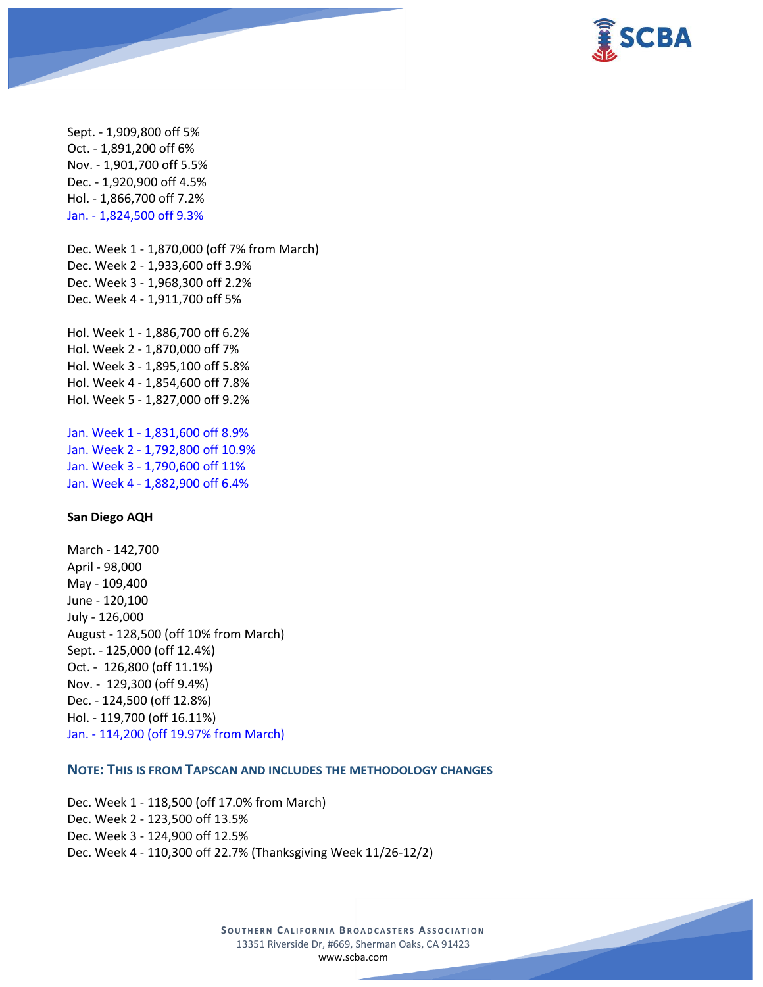

Sept. - 1,909,800 off 5% Oct. - 1,891,200 off 6% Nov. - 1,901,700 off 5.5% Dec. - 1,920,900 off 4.5% Hol. - 1,866,700 off 7.2% Jan. - 1,824,500 off 9.3% Dec. Week 1 - 1,870,000 (off 7% from March) Dec. Week 2 - 1,933,600 off 3.9% Dec. Week 3 - 1,968,300 off 2.2% Dec. Week 4 - 1,911,700 off 5% Hol. Week 1 - 1,886,700 off 6.2% Hol. Week 2 - 1,870,000 off 7% Hol. Week 3 - 1,895,100 off 5.8% Hol. Week 4 - 1,854,600 off 7.8% Hol. Week 5 - 1,827,000 off 9.2% Jan. Week 1 - 1,831,600 off 8.9% Jan. Week 2 - 1,792,800 off 10.9% Jan. Week 3 - 1,790,600 off 11%

#### **San Diego AQH**

March - 142,700 April - 98,000 May - 109,400 June - 120,100 July - 126,000 August - 128,500 (off 10% from March) Sept. - 125,000 (off 12.4%) Oct. - 126,800 (off 11.1%) Nov. - 129,300 (off 9.4%) Dec. - 124,500 (off 12.8%) Hol. - 119,700 (off 16.11%) Jan. - 114,200 (off 19.97% from March)

Jan. Week 4 - 1,882,900 off 6.4%

# **NOTE: THIS IS FROM TAPSCAN AND INCLUDES THE METHODOLOGY CHANGES**

Dec. Week 1 - 118,500 (off 17.0% from March) Dec. Week 2 - 123,500 off 13.5% Dec. Week 3 - 124,900 off 12.5% Dec. Week 4 - 110,300 off 22.7% (Thanksgiving Week 11/26-12/2)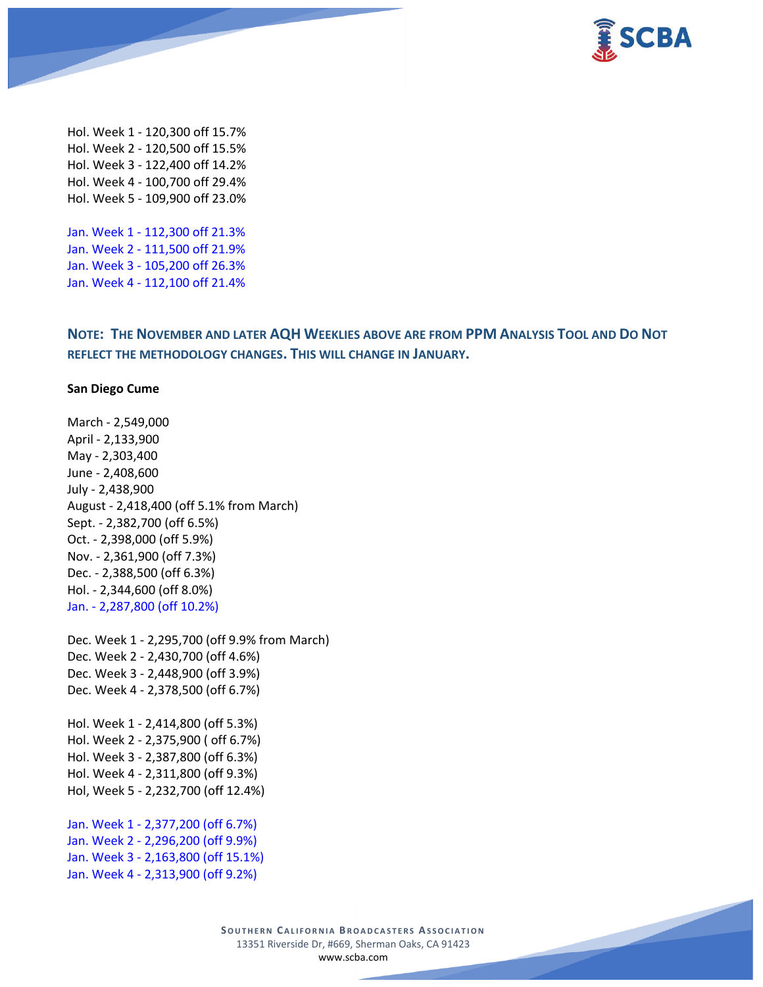



Hol. Week 1 - 120,300 off 15.7% Hol. Week 2 - 120,500 off 15.5% Hol. Week 3 - 122,400 off 14.2% Hol. Week 4 - 100,700 off 29.4% Hol. Week 5 - 109,900 off 23.0%

Jan. Week 1 - 112,300 off 21.3% Jan. Week 2 - 111,500 off 21.9% Jan. Week 3 - 105,200 off 26.3% Jan. Week 4 - 112,100 off 21.4%

**NOTE: THE NOVEMBER AND LATER AQH WEEKLIES ABOVE ARE FROM PPM ANALYSIS TOOL AND DO NOT REFLECT THE METHODOLOGY CHANGES. THIS WILL CHANGE IN JANUARY.**

#### **San Diego Cume**

March - 2,549,000 April - 2,133,900 May - 2,303,400 June - 2,408,600 July - 2,438,900 August - 2,418,400 (off 5.1% from March) Sept. - 2,382,700 (off 6.5%) Oct. - 2,398,000 (off 5.9%) Nov. - 2,361,900 (off 7.3%) Dec. - 2,388,500 (off 6.3%) Hol. - 2,344,600 (off 8.0%) Jan. - 2,287,800 (off 10.2%)

Dec. Week 1 - 2,295,700 (off 9.9% from March) Dec. Week 2 - 2,430,700 (off 4.6%) Dec. Week 3 - 2,448,900 (off 3.9%) Dec. Week 4 - 2,378,500 (off 6.7%)

Hol. Week 1 - 2,414,800 (off 5.3%) Hol. Week 2 - 2,375,900 ( off 6.7%) Hol. Week 3 - 2,387,800 (off 6.3%) Hol. Week 4 - 2,311,800 (off 9.3%) Hol, Week 5 - 2,232,700 (off 12.4%)

Jan. Week 1 - 2,377,200 (off 6.7%) Jan. Week 2 - 2,296,200 (off 9.9%) Jan. Week 3 - 2,163,800 (off 15.1%) Jan. Week 4 - 2,313,900 (off 9.2%)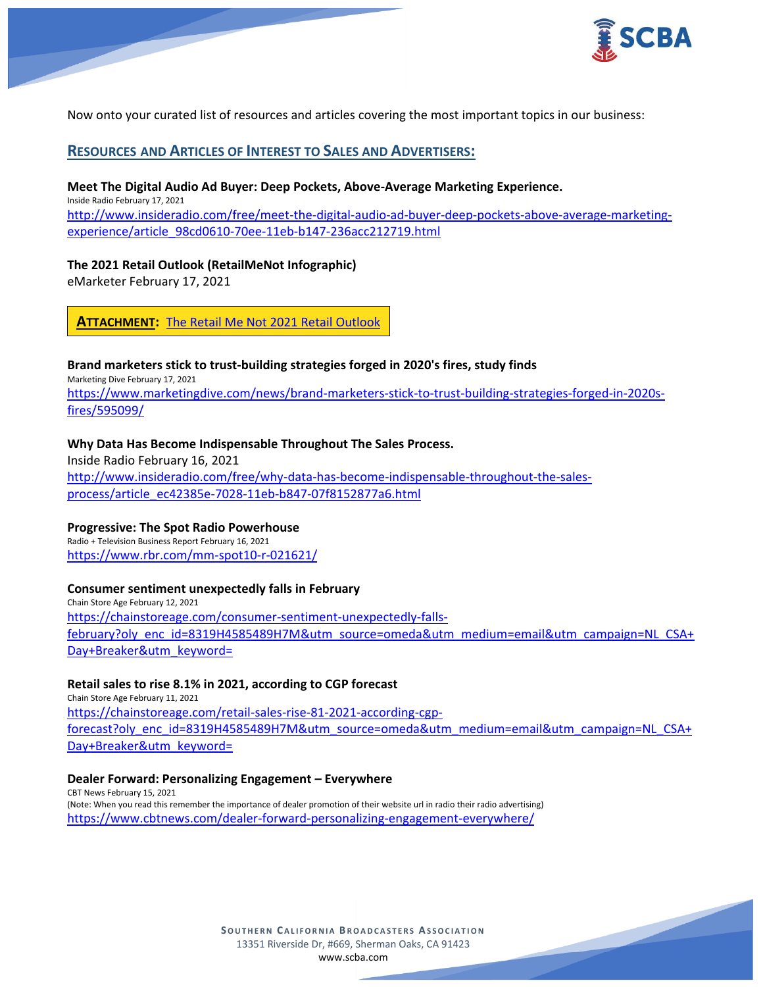



Now onto your curated list of resources and articles covering the most important topics in our business:

# **RESOURCES AND ARTICLES OF INTEREST TO SALES AND ADVERTISERS:**

#### **Meet The Digital Audio Ad Buyer: Deep Pockets, Above-Average Marketing Experience.**

Inside Radio February 17, 2021 [http://www.insideradio.com/free/meet-the-digital-audio-ad-buyer-deep-pockets-above-average-marketing](http://www.insideradio.com/free/meet-the-digital-audio-ad-buyer-deep-pockets-above-average-marketing-experience/article_98cd0610-70ee-11eb-b147-236acc212719.html)[experience/article\\_98cd0610-70ee-11eb-b147-236acc212719.html](http://www.insideradio.com/free/meet-the-digital-audio-ad-buyer-deep-pockets-above-average-marketing-experience/article_98cd0610-70ee-11eb-b147-236acc212719.html)

### **The 2021 Retail Outlook (RetailMeNot Infographic)**

eMarketer February 17, 2021

**ATTACHMENT:** [The Retail Me Not 2021](https://scba.com/the-retailmenot-2021-retail-outlook/) Retail Outlook

#### **Brand marketers stick to trust-building strategies forged in 2020's fires, study finds**

Marketing Dive February 17, 2021

[https://www.marketingdive.com/news/brand-marketers-stick-to-trust-building-strategies-forged-in-2020s](https://www.marketingdive.com/news/brand-marketers-stick-to-trust-building-strategies-forged-in-2020s-fires/595099/)[fires/595099/](https://www.marketingdive.com/news/brand-marketers-stick-to-trust-building-strategies-forged-in-2020s-fires/595099/)

### **Why Data Has Become Indispensable Throughout The Sales Process.**

Inside Radio February 16, 2021 [http://www.insideradio.com/free/why-data-has-become-indispensable-throughout-the-sales](http://www.insideradio.com/free/why-data-has-become-indispensable-throughout-the-sales-process/article_ec42385e-7028-11eb-b847-07f8152877a6.html)[process/article\\_ec42385e-7028-11eb-b847-07f8152877a6.html](http://www.insideradio.com/free/why-data-has-become-indispensable-throughout-the-sales-process/article_ec42385e-7028-11eb-b847-07f8152877a6.html)

### **Progressive: The Spot Radio Powerhouse**

Radio + Television Business Report February 16, 2021 <https://www.rbr.com/mm-spot10-r-021621/>

#### **Consumer sentiment unexpectedly falls in February**

Chain Store Age February 12, 2021 [https://chainstoreage.com/consumer-sentiment-unexpectedly-falls](https://chainstoreage.com/consumer-sentiment-unexpectedly-falls-february?oly_enc_id=8319H4585489H7M&utm_source=omeda&utm_medium=email&utm_campaign=NL_CSA+Day+Breaker&utm_keyword=)[february?oly\\_enc\\_id=8319H4585489H7M&utm\\_source=omeda&utm\\_medium=email&utm\\_campaign=NL\\_CSA+](https://chainstoreage.com/consumer-sentiment-unexpectedly-falls-february?oly_enc_id=8319H4585489H7M&utm_source=omeda&utm_medium=email&utm_campaign=NL_CSA+Day+Breaker&utm_keyword=) [Day+Breaker&utm\\_keyword=](https://chainstoreage.com/consumer-sentiment-unexpectedly-falls-february?oly_enc_id=8319H4585489H7M&utm_source=omeda&utm_medium=email&utm_campaign=NL_CSA+Day+Breaker&utm_keyword=)

#### **Retail sales to rise 8.1% in 2021, according to CGP forecast**

Chain Store Age February 11, 2021 [https://chainstoreage.com/retail-sales-rise-81-2021-according-cgp](https://chainstoreage.com/retail-sales-rise-81-2021-according-cgp-forecast?oly_enc_id=8319H4585489H7M&utm_source=omeda&utm_medium=email&utm_campaign=NL_CSA+Day+Breaker&utm_keyword=)[forecast?oly\\_enc\\_id=8319H4585489H7M&utm\\_source=omeda&utm\\_medium=email&utm\\_campaign=NL\\_CSA+](https://chainstoreage.com/retail-sales-rise-81-2021-according-cgp-forecast?oly_enc_id=8319H4585489H7M&utm_source=omeda&utm_medium=email&utm_campaign=NL_CSA+Day+Breaker&utm_keyword=) [Day+Breaker&utm\\_keyword=](https://chainstoreage.com/retail-sales-rise-81-2021-according-cgp-forecast?oly_enc_id=8319H4585489H7M&utm_source=omeda&utm_medium=email&utm_campaign=NL_CSA+Day+Breaker&utm_keyword=)

#### **Dealer Forward: Personalizing Engagement – Everywhere**

CBT News February 15, 2021 (Note: When you read this remember the importance of dealer promotion of their website url in radio their radio advertising) <https://www.cbtnews.com/dealer-forward-personalizing-engagement-everywhere/>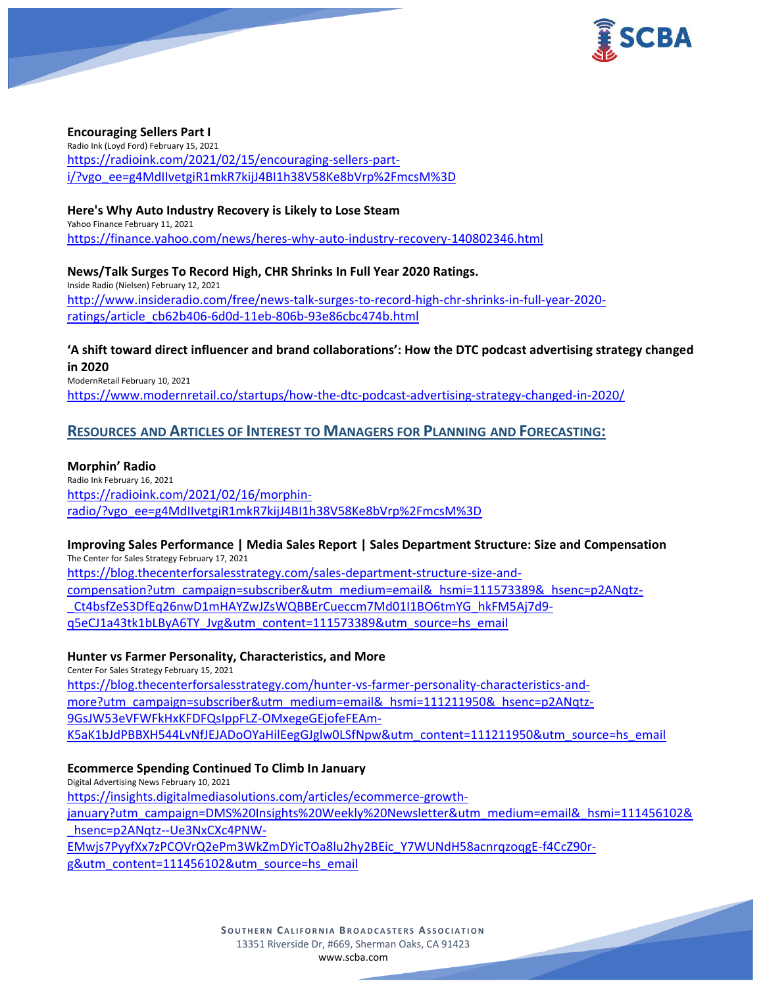

### **Encouraging Sellers Part I**

Radio Ink (Loyd Ford) February 15, 2021 [https://radioink.com/2021/02/15/encouraging-sellers-part](https://radioink.com/2021/02/15/encouraging-sellers-part-i/?vgo_ee=g4MdIIvetgiR1mkR7kijJ4BI1h38V58Ke8bVrp%2FmcsM%3D)[i/?vgo\\_ee=g4MdIIvetgiR1mkR7kijJ4BI1h38V58Ke8bVrp%2FmcsM%3D](https://radioink.com/2021/02/15/encouraging-sellers-part-i/?vgo_ee=g4MdIIvetgiR1mkR7kijJ4BI1h38V58Ke8bVrp%2FmcsM%3D)

#### **Here's Why Auto Industry Recovery is Likely to Lose Steam**

Yahoo Finance February 11, 2021 <https://finance.yahoo.com/news/heres-why-auto-industry-recovery-140802346.html>

**News/Talk Surges To Record High, CHR Shrinks In Full Year 2020 Ratings.** Inside Radio (Nielsen) February 12, 2021 [http://www.insideradio.com/free/news-talk-surges-to-record-high-chr-shrinks-in-full-year-2020](http://www.insideradio.com/free/news-talk-surges-to-record-high-chr-shrinks-in-full-year-2020-ratings/article_cb62b406-6d0d-11eb-806b-93e86cbc474b.html) [ratings/article\\_cb62b406-6d0d-11eb-806b-93e86cbc474b.html](http://www.insideradio.com/free/news-talk-surges-to-record-high-chr-shrinks-in-full-year-2020-ratings/article_cb62b406-6d0d-11eb-806b-93e86cbc474b.html)

# **'A shift toward direct influencer and brand collaborations': How the DTC podcast advertising strategy changed in 2020**

ModernRetail February 10, 2021 <https://www.modernretail.co/startups/how-the-dtc-podcast-advertising-strategy-changed-in-2020/>

# **RESOURCES AND ARTICLES OF INTEREST TO MANAGERS FOR PLANNING AND FORECASTING:**

#### **Morphin' Radio**

Radio Ink February 16, 2021 [https://radioink.com/2021/02/16/morphin](https://radioink.com/2021/02/16/morphin-radio/?vgo_ee=g4MdIIvetgiR1mkR7kijJ4BI1h38V58Ke8bVrp%2FmcsM%3D)[radio/?vgo\\_ee=g4MdIIvetgiR1mkR7kijJ4BI1h38V58Ke8bVrp%2FmcsM%3D](https://radioink.com/2021/02/16/morphin-radio/?vgo_ee=g4MdIIvetgiR1mkR7kijJ4BI1h38V58Ke8bVrp%2FmcsM%3D)

**Improving Sales Performance | Media Sales Report | Sales Department Structure: Size and Compensation** The Center for Sales Strategy February 17, 2021

[https://blog.thecenterforsalesstrategy.com/sales-department-structure-size-and](https://blog.thecenterforsalesstrategy.com/sales-department-structure-size-and-compensation?utm_campaign=subscriber&utm_medium=email&_hsmi=111573389&_hsenc=p2ANqtz-_Ct4bsfZeS3DfEq26nwD1mHAYZwJZsWQBBErCueccm7Md01I1BO6tmYG_hkFM5Aj7d9-q5eCJ1a43tk1bLByA6TY_Jvg&utm_content=111573389&utm_source=hs_email)[compensation?utm\\_campaign=subscriber&utm\\_medium=email&\\_hsmi=111573389&\\_hsenc=p2ANqtz-](https://blog.thecenterforsalesstrategy.com/sales-department-structure-size-and-compensation?utm_campaign=subscriber&utm_medium=email&_hsmi=111573389&_hsenc=p2ANqtz-_Ct4bsfZeS3DfEq26nwD1mHAYZwJZsWQBBErCueccm7Md01I1BO6tmYG_hkFM5Aj7d9-q5eCJ1a43tk1bLByA6TY_Jvg&utm_content=111573389&utm_source=hs_email) [\\_Ct4bsfZeS3DfEq26nwD1mHAYZwJZsWQBBErCueccm7Md01I1BO6tmYG\\_hkFM5Aj7d9](https://blog.thecenterforsalesstrategy.com/sales-department-structure-size-and-compensation?utm_campaign=subscriber&utm_medium=email&_hsmi=111573389&_hsenc=p2ANqtz-_Ct4bsfZeS3DfEq26nwD1mHAYZwJZsWQBBErCueccm7Md01I1BO6tmYG_hkFM5Aj7d9-q5eCJ1a43tk1bLByA6TY_Jvg&utm_content=111573389&utm_source=hs_email) [q5eCJ1a43tk1bLByA6TY\\_Jvg&utm\\_content=111573389&utm\\_source=hs\\_email](https://blog.thecenterforsalesstrategy.com/sales-department-structure-size-and-compensation?utm_campaign=subscriber&utm_medium=email&_hsmi=111573389&_hsenc=p2ANqtz-_Ct4bsfZeS3DfEq26nwD1mHAYZwJZsWQBBErCueccm7Md01I1BO6tmYG_hkFM5Aj7d9-q5eCJ1a43tk1bLByA6TY_Jvg&utm_content=111573389&utm_source=hs_email)

#### **Hunter vs Farmer Personality, Characteristics, and More**

Center For Sales Strategy February 15, 2021 [https://blog.thecenterforsalesstrategy.com/hunter-vs-farmer-personality-characteristics-and](https://blog.thecenterforsalesstrategy.com/hunter-vs-farmer-personality-characteristics-and-more?utm_campaign=subscriber&utm_medium=email&_hsmi=111211950&_hsenc=p2ANqtz-9GsJW53eVFWFkHxKFDFQsIppFLZ-OMxegeGEjofeFEAm-K5aK1bJdPBBXH544LvNfJEJADoOYaHilEegGJglw0LSfNpw&utm_content=111211950&utm_source=hs_email)[more?utm\\_campaign=subscriber&utm\\_medium=email&\\_hsmi=111211950&\\_hsenc=p2ANqtz-](https://blog.thecenterforsalesstrategy.com/hunter-vs-farmer-personality-characteristics-and-more?utm_campaign=subscriber&utm_medium=email&_hsmi=111211950&_hsenc=p2ANqtz-9GsJW53eVFWFkHxKFDFQsIppFLZ-OMxegeGEjofeFEAm-K5aK1bJdPBBXH544LvNfJEJADoOYaHilEegGJglw0LSfNpw&utm_content=111211950&utm_source=hs_email)[9GsJW53eVFWFkHxKFDFQsIppFLZ-OMxegeGEjofeFEAm-](https://blog.thecenterforsalesstrategy.com/hunter-vs-farmer-personality-characteristics-and-more?utm_campaign=subscriber&utm_medium=email&_hsmi=111211950&_hsenc=p2ANqtz-9GsJW53eVFWFkHxKFDFQsIppFLZ-OMxegeGEjofeFEAm-K5aK1bJdPBBXH544LvNfJEJADoOYaHilEegGJglw0LSfNpw&utm_content=111211950&utm_source=hs_email)[K5aK1bJdPBBXH544LvNfJEJADoOYaHilEegGJglw0LSfNpw&utm\\_content=111211950&utm\\_source=hs\\_email](https://blog.thecenterforsalesstrategy.com/hunter-vs-farmer-personality-characteristics-and-more?utm_campaign=subscriber&utm_medium=email&_hsmi=111211950&_hsenc=p2ANqtz-9GsJW53eVFWFkHxKFDFQsIppFLZ-OMxegeGEjofeFEAm-K5aK1bJdPBBXH544LvNfJEJADoOYaHilEegGJglw0LSfNpw&utm_content=111211950&utm_source=hs_email)

#### **Ecommerce Spending Continued To Climb In January**

Digital Advertising News February 10, 2021 [https://insights.digitalmediasolutions.com/articles/ecommerce-growth](https://insights.digitalmediasolutions.com/articles/ecommerce-growth-january?utm_campaign=DMS%20Insights%20Weekly%20Newsletter&utm_medium=email&_hsmi=111456102&_hsenc=p2ANqtz--Ue3NxCXc4PNW-EMwjs7PyyfXx7zPCOVrQ2ePm3WkZmDYicTOa8lu2hy2BEic_Y7WUNdH58acnrqzoqgE-f4CcZ90r-g&utm_content=111456102&utm_source=hs_email)[january?utm\\_campaign=DMS%20Insights%20Weekly%20Newsletter&utm\\_medium=email&\\_hsmi=111456102&](https://insights.digitalmediasolutions.com/articles/ecommerce-growth-january?utm_campaign=DMS%20Insights%20Weekly%20Newsletter&utm_medium=email&_hsmi=111456102&_hsenc=p2ANqtz--Ue3NxCXc4PNW-EMwjs7PyyfXx7zPCOVrQ2ePm3WkZmDYicTOa8lu2hy2BEic_Y7WUNdH58acnrqzoqgE-f4CcZ90r-g&utm_content=111456102&utm_source=hs_email) [\\_hsenc=p2ANqtz--Ue3NxCXc4PNW-](https://insights.digitalmediasolutions.com/articles/ecommerce-growth-january?utm_campaign=DMS%20Insights%20Weekly%20Newsletter&utm_medium=email&_hsmi=111456102&_hsenc=p2ANqtz--Ue3NxCXc4PNW-EMwjs7PyyfXx7zPCOVrQ2ePm3WkZmDYicTOa8lu2hy2BEic_Y7WUNdH58acnrqzoqgE-f4CcZ90r-g&utm_content=111456102&utm_source=hs_email)[EMwjs7PyyfXx7zPCOVrQ2ePm3WkZmDYicTOa8lu2hy2BEic\\_Y7WUNdH58acnrqzoqgE-f4CcZ90r-](https://insights.digitalmediasolutions.com/articles/ecommerce-growth-january?utm_campaign=DMS%20Insights%20Weekly%20Newsletter&utm_medium=email&_hsmi=111456102&_hsenc=p2ANqtz--Ue3NxCXc4PNW-EMwjs7PyyfXx7zPCOVrQ2ePm3WkZmDYicTOa8lu2hy2BEic_Y7WUNdH58acnrqzoqgE-f4CcZ90r-g&utm_content=111456102&utm_source=hs_email)

[g&utm\\_content=111456102&utm\\_source=hs\\_email](https://insights.digitalmediasolutions.com/articles/ecommerce-growth-january?utm_campaign=DMS%20Insights%20Weekly%20Newsletter&utm_medium=email&_hsmi=111456102&_hsenc=p2ANqtz--Ue3NxCXc4PNW-EMwjs7PyyfXx7zPCOVrQ2ePm3WkZmDYicTOa8lu2hy2BEic_Y7WUNdH58acnrqzoqgE-f4CcZ90r-g&utm_content=111456102&utm_source=hs_email)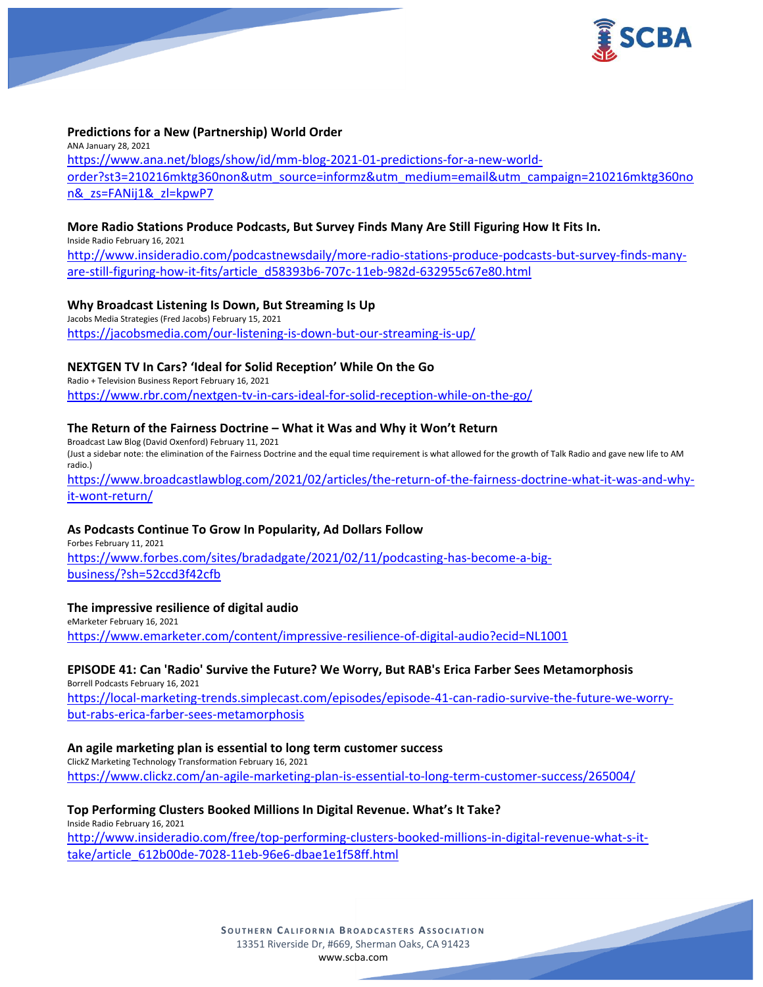



### **Predictions for a New (Partnership) World Order**

ANA January 28, 2021 [https://www.ana.net/blogs/show/id/mm-blog-2021-01-predictions-for-a-new-world](https://www.ana.net/blogs/show/id/mm-blog-2021-01-predictions-for-a-new-world-order?st3=210216mktg360non&utm_source=informz&utm_medium=email&utm_campaign=210216mktg360non&_zs=FANij1&_zl=kpwP7)[order?st3=210216mktg360non&utm\\_source=informz&utm\\_medium=email&utm\\_campaign=210216mktg360no](https://www.ana.net/blogs/show/id/mm-blog-2021-01-predictions-for-a-new-world-order?st3=210216mktg360non&utm_source=informz&utm_medium=email&utm_campaign=210216mktg360non&_zs=FANij1&_zl=kpwP7) [n&\\_zs=FANij1&\\_zl=kpwP7](https://www.ana.net/blogs/show/id/mm-blog-2021-01-predictions-for-a-new-world-order?st3=210216mktg360non&utm_source=informz&utm_medium=email&utm_campaign=210216mktg360non&_zs=FANij1&_zl=kpwP7)

#### **More Radio Stations Produce Podcasts, But Survey Finds Many Are Still Figuring How It Fits In.**

Inside Radio February 16, 2021

[http://www.insideradio.com/podcastnewsdaily/more-radio-stations-produce-podcasts-but-survey-finds-many](http://www.insideradio.com/podcastnewsdaily/more-radio-stations-produce-podcasts-but-survey-finds-many-are-still-figuring-how-it-fits/article_d58393b6-707c-11eb-982d-632955c67e80.html)[are-still-figuring-how-it-fits/article\\_d58393b6-707c-11eb-982d-632955c67e80.html](http://www.insideradio.com/podcastnewsdaily/more-radio-stations-produce-podcasts-but-survey-finds-many-are-still-figuring-how-it-fits/article_d58393b6-707c-11eb-982d-632955c67e80.html)

### **Why Broadcast Listening Is Down, But Streaming Is Up**

Jacobs Media Strategies (Fred Jacobs) February 15, 2021 <https://jacobsmedia.com/our-listening-is-down-but-our-streaming-is-up/>

### **NEXTGEN TV In Cars? 'Ideal for Solid Reception' While On the Go**

Radio + Television Business Report February 16, 2021 <https://www.rbr.com/nextgen-tv-in-cars-ideal-for-solid-reception-while-on-the-go/>

### **The Return of the Fairness Doctrine – What it Was and Why it Won't Return**

Broadcast Law Blog (David Oxenford) February 11, 2021 (Just a sidebar note: the elimination of the Fairness Doctrine and the equal time requirement is what allowed for the growth of Talk Radio and gave new life to AM radio.)

[https://www.broadcastlawblog.com/2021/02/articles/the-return-of-the-fairness-doctrine-what-it-was-and-why](https://www.broadcastlawblog.com/2021/02/articles/the-return-of-the-fairness-doctrine-what-it-was-and-why-it-wont-return/)[it-wont-return/](https://www.broadcastlawblog.com/2021/02/articles/the-return-of-the-fairness-doctrine-what-it-was-and-why-it-wont-return/)

#### **As Podcasts Continue To Grow In Popularity, Ad Dollars Follow**

Forbes February 11, 2021 [https://www.forbes.com/sites/bradadgate/2021/02/11/podcasting-has-become-a-big](https://www.forbes.com/sites/bradadgate/2021/02/11/podcasting-has-become-a-big-business/?sh=52ccd3f42cfb)[business/?sh=52ccd3f42cfb](https://www.forbes.com/sites/bradadgate/2021/02/11/podcasting-has-become-a-big-business/?sh=52ccd3f42cfb)

#### **The impressive resilience of digital audio**

eMarketer February 16, 2021 <https://www.emarketer.com/content/impressive-resilience-of-digital-audio?ecid=NL1001>

### **EPISODE 41: Can 'Radio' Survive the Future? We Worry, But RAB's Erica Farber Sees Metamorphosis**

Borrell Podcasts February 16, 2021 [https://local-marketing-trends.simplecast.com/episodes/episode-41-can-radio-survive-the-future-we-worry](https://local-marketing-trends.simplecast.com/episodes/episode-41-can-radio-survive-the-future-we-worry-but-rabs-erica-farber-sees-metamorphosis)[but-rabs-erica-farber-sees-metamorphosis](https://local-marketing-trends.simplecast.com/episodes/episode-41-can-radio-survive-the-future-we-worry-but-rabs-erica-farber-sees-metamorphosis)

#### **An agile marketing plan is essential to long term customer success**

ClickZ Marketing Technology Transformation February 16, 2021 <https://www.clickz.com/an-agile-marketing-plan-is-essential-to-long-term-customer-success/265004/>

#### **Top Performing Clusters Booked Millions In Digital Revenue. What's It Take?**

Inside Radio February 16, 2021 [http://www.insideradio.com/free/top-performing-clusters-booked-millions-in-digital-revenue-what-s-it](http://www.insideradio.com/free/top-performing-clusters-booked-millions-in-digital-revenue-what-s-it-take/article_612b00de-7028-11eb-96e6-dbae1e1f58ff.html)[take/article\\_612b00de-7028-11eb-96e6-dbae1e1f58ff.html](http://www.insideradio.com/free/top-performing-clusters-booked-millions-in-digital-revenue-what-s-it-take/article_612b00de-7028-11eb-96e6-dbae1e1f58ff.html)